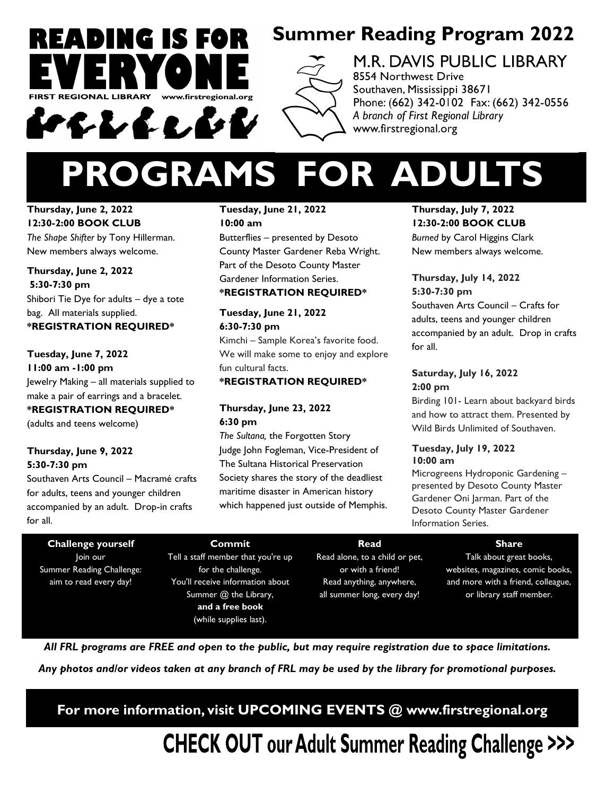

### **Summer Reading Program 2022**



### M.R. DAVIS PUBLIC LIBRARY 8554 Northwest Drive

Southaven, Mississippi 38671 Phone: (662) 342-0102 Fax: (662) 342-0556 A branch of First Regional Library www.firstregional.org

# **PROGRAMS FOR ADULTS**

#### **Thursday, June 2, 2022 12:30-2:00 BOOK CLUB**

*The Shape Shifter* by Tony Hillerman. New members always welcome.

#### **Thursday, June 2, 2022 5:30-7:30 pm**  Shibori Tie Dye for adults – dye a tote bag. All materials supplied. **\*REGISTRATION REQUIRED\***

**Tuesday, June 7, 2022 11:00 am -1:00 pm**  Jewelry Making – all materials supplied to make a pair of earrings and a bracelet. **\*REGISTRATION REQUIRED\*** (adults and teens welcome)

#### **Thursday, June 9, 2022 5:30-7:30 pm**

Southaven Arts Council – Macramé crafts for adults, teens and younger children accompanied by an adult. Drop-in crafts for all.

#### **Tuesday, June 21, 2022 10:00 am**

Butterflies – presented by Desoto County Master Gardener Reba Wright. Part of the Desoto County Master Gardener Information Series. **\*REGISTRATION REQUIRED\***

#### **Tuesday, June 21, 2022 6:30-7:30 pm**

Kimchi – Sample Korea's favorite food. We will make some to enjoy and explore fun cultural facts.

#### **\*REGISTRATION REQUIRED\***

#### **Thursday, June 23, 2022 6:30 pm**

*The Sultana,* the Forgotten Story Judge John Fogleman, Vice-President of The Sultana Historical Preservation Society shares the story of the deadliest maritime disaster in American history which happened just outside of Memphis.

#### **Thursday, July 7, 2022 12:30-2:00 BOOK CLUB**

*Burned* by Carol Higgins Clark New members always welcome.

#### **Thursday, July 14, 2022 5:30-7:30 pm**

Southaven Arts Council – Crafts for adults, teens and younger children accompanied by an adult. Drop in crafts for all.

#### **Saturday, July 16, 2022 2:00 pm**

Birding 101- Learn about backyard birds and how to attract them. Presented by Wild Birds Unlimited of Southaven.

#### **Tuesday, July 19, 2022 10:00 am**

Microgreens Hydroponic Gardening – presented by Desoto County Master Gardener Oni Jarman. Part of the Desoto County Master Gardener Information Series.

**Challenge yourself**  Join our Summer Reading Challenge: aim to read every day!

#### **Commit**

Tell a staff member that you're up for the challenge. You'll receive information about Summer @ the Library, **and a free book**  (while supplies last).

#### **Read**  Read alone, to a child or pet, or with a friend! Read anything, anywhere, all summer long, every day!

**Share** 

Talk about great books, websites, magazines, comic books, and more with a friend, colleague, or library staff member.

*All FRL programs are FREE and open to the public, but may require registration due to space limitations.*

*Any photos and/or videos taken at any branch of FRL may be used by the library for promotional purposes.* 

**For more information, visit UPCOMING EVENTS @ www.firstregional.org**

**CHECK OUT our Adult Summer Reading Challenge >>>**